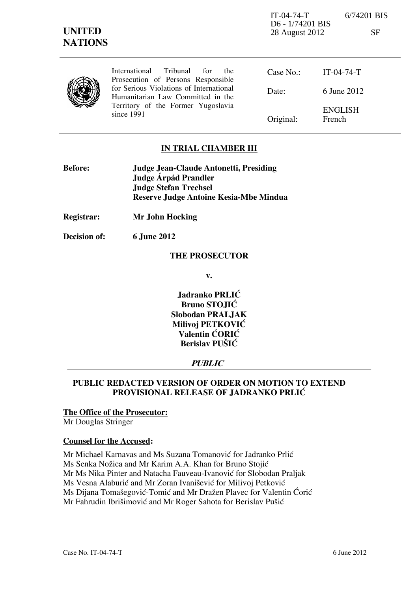IT-04-74-T 6/74201 BIS D6 - 1/74201 BIS 28 August 2012 SF

|  | International Tribunal for<br>the.<br>Prosecution of Persons Responsible     | Case No.: $IT-04-74-T$ |                                 |
|--|------------------------------------------------------------------------------|------------------------|---------------------------------|
|  | for Serious Violations of International<br>Humanitarian Law Committed in the | Date:                  | 6 June 2012                     |
|  | Territory of the Former Yugoslavia<br>since 1991                             | Original:              | <b>ENGLISH</b><br><b>French</b> |

### **IN TRIAL CHAMBER III**

| <b>Before:</b> | <b>Judge Jean-Claude Antonetti, Presiding</b> |
|----------------|-----------------------------------------------|
|                | Judge Árpád Prandler                          |
|                | <b>Judge Stefan Trechsel</b>                  |
|                | <b>Reserve Judge Antoine Kesia-Mbe Mindua</b> |

**Registrar: Mr John Hocking** 

**Decision of: 6 June 2012** 

#### **THE PROSECUTOR**

**v.** 

**Jadranko PRLIĆ Bruno STOJIĆ Slobodan PRALJAK Milivoj PETKOVIĆ Valentin CORIC Berislav PUŠIĆ** 

## **PUBLIC**

## **PUBLIC REDACTED VERSION OF ORDER ON MOTION TO EXTEND PROVISIONAL RELEASE OF JADRANKO PRLIĆ**

#### **The Office of the Prosecutor:**  Mr Douglas Stringer

# **Counsel for the Accused:**

Mr Michael Karnavas and Ms Suzana Tomanović for Jadranko Prlić Ms Senka Nožica and Mr Karim A.A. Khan for Bruno Stojić Mr Ms Nika Pinter and Natacha Fauveau-Ivanović for Slobodan Praljak Ms Vesna Alaburić and Mr Zoran Ivanišević for Milivoj Petković Ms Dijana Tomašegović-Tomić and Mr Dražen Plavec for Valentin Ćorić Mr Fahrudin Ibrišimović and Mr Roger Sahota for Berislav Pušić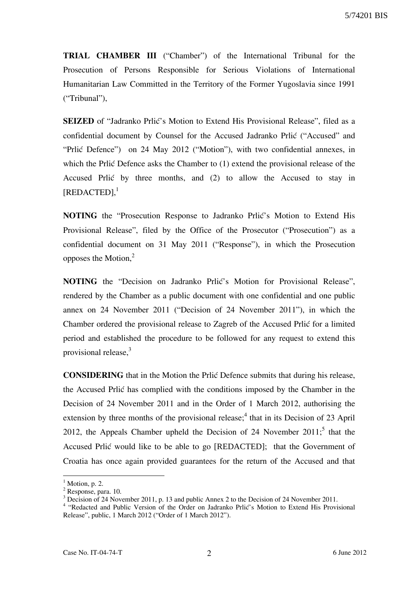**TRIAL CHAMBER III** ("Chamber") of the International Tribunal for the Prosecution of Persons Responsible for Serious Violations of International Humanitarian Law Committed in the Territory of the Former Yugoslavia since 1991 ("Tribunal"),

**SEIZED** of "Jadranko Prlić's Motion to Extend His Provisional Release", filed as a confidential document by Counsel for the Accused Jadranko Prlić ("Accused" and "Prlić Defence") on 24 May 2012 ("Motion"), with two confidential annexes, in which the Prlić Defence asks the Chamber to  $(1)$  extend the provisional release of the Accused Prlić by three months, and (2) to allow the Accused to stay in [REDACTED],<sup>1</sup>

**NOTING** the "Prosecution Response to Jadranko Prlić's Motion to Extend His Provisional Release", filed by the Office of the Prosecutor ("Prosecution") as a confidential document on 31 May 2011 ("Response"), in which the Prosecution opposes the Motion, $2$ 

**NOTING** the "Decision on Jadranko Prlić's Motion for Provisional Release", rendered by the Chamber as a public document with one confidential and one public annex on 24 November 2011 ("Decision of 24 November 2011"), in which the Chamber ordered the provisional release to Zagreb of the Accused Prlić for a limited period and established the procedure to be followed for any request to extend this provisional release,<sup>3</sup>

**CONSIDERING** that in the Motion the Prlic Defence submits that during his release, the Accused Prlić has complied with the conditions imposed by the Chamber in the Decision of 24 November 2011 and in the Order of 1 March 2012, authorising the extension by three months of the provisional release;<sup>4</sup> that in its Decision of 23 April 2012, the Appeals Chamber upheld the Decision of 24 November  $2011$ ; that the Accused Prlić would like to be able to go [REDACTED]; that the Government of Croatia has once again provided guarantees for the return of the Accused and that

 $\overline{a}$ 

 $<sup>1</sup>$  Motion, p. 2.</sup>

<sup>&</sup>lt;sup>2</sup> Response, para. 10.

<sup>&</sup>lt;sup>3</sup> Decision of 24 November 2011, p. 13 and public Annex 2 to the Decision of 24 November 2011.

<sup>&</sup>lt;sup>4</sup> "Redacted and Public Version of the Order on Jadranko Prlić's Motion to Extend His Provisional Release", public, 1 March 2012 ("Order of 1 March 2012").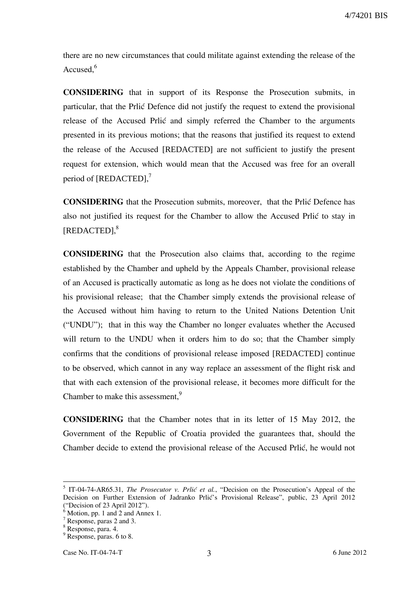there are no new circumstances that could militate against extending the release of the Accused.<sup>6</sup>

**CONSIDERING** that in support of its Response the Prosecution submits, in particular, that the Prlić Defence did not justify the request to extend the provisional release of the Accused Prlić and simply referred the Chamber to the arguments presented in its previous motions; that the reasons that justified its request to extend the release of the Accused [REDACTED] are not sufficient to justify the present request for extension, which would mean that the Accused was free for an overall period of [REDACTED],<sup>7</sup>

**CONSIDERING** that the Prosecution submits, moreover, that the Prlić Defence has also not justified its request for the Chamber to allow the Accused Prlić to stay in [REDACTED], 8

**CONSIDERING** that the Prosecution also claims that, according to the regime established by the Chamber and upheld by the Appeals Chamber, provisional release of an Accused is practically automatic as long as he does not violate the conditions of his provisional release; that the Chamber simply extends the provisional release of the Accused without him having to return to the United Nations Detention Unit ("UNDU"); that in this way the Chamber no longer evaluates whether the Accused will return to the UNDU when it orders him to do so; that the Chamber simply confirms that the conditions of provisional release imposed [REDACTED] continue to be observed, which cannot in any way replace an assessment of the flight risk and that with each extension of the provisional release, it becomes more difficult for the Chamber to make this assessment,<sup>9</sup>

**CONSIDERING** that the Chamber notes that in its letter of 15 May 2012, the Government of the Republic of Croatia provided the guarantees that, should the Chamber decide to extend the provisional release of the Accused Prlić, he would not

1

<sup>&</sup>lt;sup>5</sup> IT-04-74-AR65.31, *The Prosecutor v. Prlić et al.*, "Decision on the Prosecution's Appeal of the Decision on Further Extension of Jadranko Prlić's Provisional Release", public, 23 April 2012 ("Decision of 23 April 2012").

Motion, pp. 1 and 2 and Annex 1.

<sup>7</sup> Response, paras 2 and 3.

<sup>8</sup> Response, para. 4.

<sup>&</sup>lt;sup>9</sup> Response, paras. 6 to 8.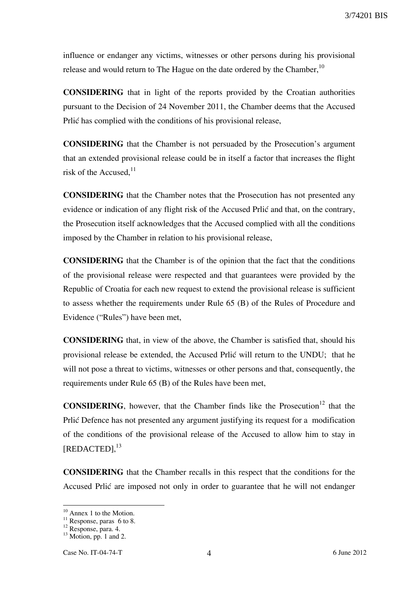influence or endanger any victims, witnesses or other persons during his provisional release and would return to The Hague on the date ordered by the Chamber.<sup>10</sup>

**CONSIDERING** that in light of the reports provided by the Croatian authorities pursuant to the Decision of 24 November 2011, the Chamber deems that the Accused Prlić has complied with the conditions of his provisional release,

**CONSIDERING** that the Chamber is not persuaded by the Prosecution's argument that an extended provisional release could be in itself a factor that increases the flight risk of the Accused.<sup>11</sup>

**CONSIDERING** that the Chamber notes that the Prosecution has not presented any evidence or indication of any flight risk of the Accused Prlić and that, on the contrary, the Prosecution itself acknowledges that the Accused complied with all the conditions imposed by the Chamber in relation to his provisional release,

**CONSIDERING** that the Chamber is of the opinion that the fact that the conditions of the provisional release were respected and that guarantees were provided by the Republic of Croatia for each new request to extend the provisional release is sufficient to assess whether the requirements under Rule 65 (B) of the Rules of Procedure and Evidence ("Rules") have been met,

**CONSIDERING** that, in view of the above, the Chamber is satisfied that, should his provisional release be extended, the Accused Prlić will return to the UNDU; that he will not pose a threat to victims, witnesses or other persons and that, consequently, the requirements under Rule 65 (B) of the Rules have been met,

**CONSIDERING**, however, that the Chamber finds like the Prosecution<sup>12</sup> that the Prlić Defence has not presented any argument justifying its request for a modification of the conditions of the provisional release of the Accused to allow him to stay in [REDACTED], 13

**CONSIDERING** that the Chamber recalls in this respect that the conditions for the Accused Prlić are imposed not only in order to guarantee that he will not endanger

 $\overline{a}$ 

<sup>&</sup>lt;sup>10</sup> Annex 1 to the Motion.

 $11$  Response, paras 6 to 8.

 $12$  Response, para. 4.

 $13$  Motion, pp. 1 and 2.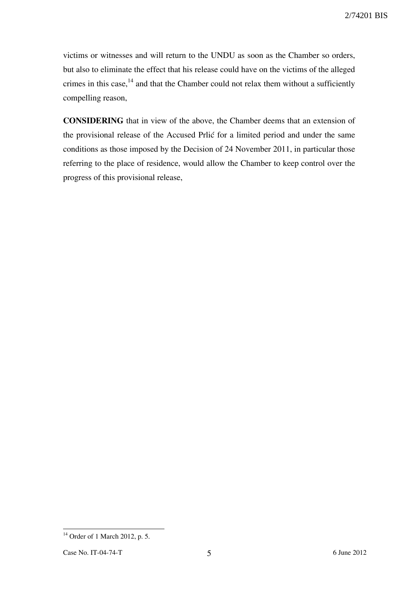victims or witnesses and will return to the UNDU as soon as the Chamber so orders, but also to eliminate the effect that his release could have on the victims of the alleged crimes in this case, $14$  and that the Chamber could not relax them without a sufficiently compelling reason,

**CONSIDERING** that in view of the above, the Chamber deems that an extension of the provisional release of the Accused Prlić for a limited period and under the same conditions as those imposed by the Decision of 24 November 2011, in particular those referring to the place of residence, would allow the Chamber to keep control over the progress of this provisional release,

 $\overline{a}$ <sup>14</sup> Order of 1 March 2012, p. 5.